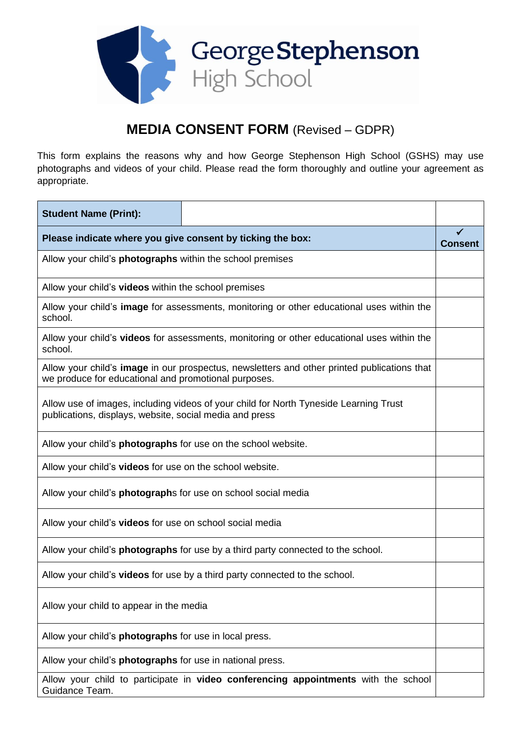

## **MEDIA CONSENT FORM** (Revised – GDPR)

This form explains the reasons why and how George Stephenson High School (GSHS) may use photographs and videos of your child. Please read the form thoroughly and outline your agreement as appropriate.

| <b>Student Name (Print):</b>                                                                                                                        |  |                |
|-----------------------------------------------------------------------------------------------------------------------------------------------------|--|----------------|
| Please indicate where you give consent by ticking the box:                                                                                          |  | <b>Consent</b> |
| Allow your child's <b>photographs</b> within the school premises                                                                                    |  |                |
| Allow your child's videos within the school premises                                                                                                |  |                |
| Allow your child's image for assessments, monitoring or other educational uses within the<br>school.                                                |  |                |
| Allow your child's videos for assessments, monitoring or other educational uses within the<br>school.                                               |  |                |
| Allow your child's image in our prospectus, newsletters and other printed publications that<br>we produce for educational and promotional purposes. |  |                |
| Allow use of images, including videos of your child for North Tyneside Learning Trust<br>publications, displays, website, social media and press    |  |                |
| Allow your child's <b>photographs</b> for use on the school website.                                                                                |  |                |
| Allow your child's videos for use on the school website.                                                                                            |  |                |
| Allow your child's <b>photograph</b> s for use on school social media                                                                               |  |                |
| Allow your child's videos for use on school social media                                                                                            |  |                |
| Allow your child's <b>photographs</b> for use by a third party connected to the school.                                                             |  |                |
| Allow your child's videos for use by a third party connected to the school.                                                                         |  |                |
| Allow your child to appear in the media                                                                                                             |  |                |
| Allow your child's <b>photographs</b> for use in local press.                                                                                       |  |                |
| Allow your child's photographs for use in national press.                                                                                           |  |                |
| Allow your child to participate in video conferencing appointments with the school<br>Guidance Team.                                                |  |                |